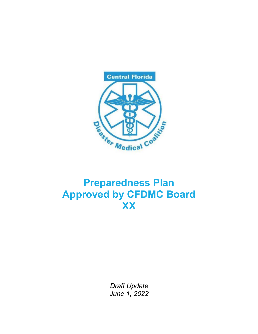

# **Preparedness Plan Approved by CFDMC Board XX**

*Draft Update June 1, 2022*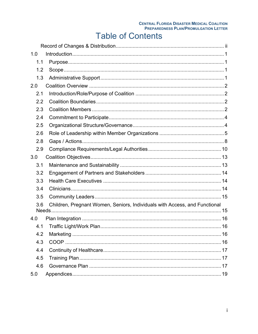#### **CENTRAL FLORIDA DISASTER MEDICAL COALITION PREPAREDNESS PLAN/PROMULGATION LETTER**

# **Table of Contents**

| 1.0 |                                                                            |  |
|-----|----------------------------------------------------------------------------|--|
| 1.1 |                                                                            |  |
| 1.2 |                                                                            |  |
| 1.3 |                                                                            |  |
| 2.0 |                                                                            |  |
| 2.1 |                                                                            |  |
| 2.2 |                                                                            |  |
| 2.3 |                                                                            |  |
| 2.4 |                                                                            |  |
| 2.5 |                                                                            |  |
| 2.6 |                                                                            |  |
| 2.8 |                                                                            |  |
| 2.9 |                                                                            |  |
| 3.0 |                                                                            |  |
| 3.1 |                                                                            |  |
| 3.2 |                                                                            |  |
| 3.3 |                                                                            |  |
| 3.4 |                                                                            |  |
| 3.5 |                                                                            |  |
| 3.6 | Children, Pregnant Women, Seniors, Individuals with Access, and Functional |  |
| 4.0 |                                                                            |  |
| 4.1 |                                                                            |  |
| 4.2 |                                                                            |  |
| 4.3 |                                                                            |  |
| 4.4 |                                                                            |  |
| 4.5 |                                                                            |  |
| 4.6 |                                                                            |  |
| 5.0 |                                                                            |  |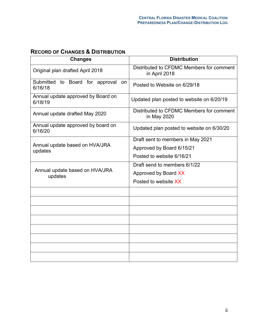#### **RECORD OF CHANGES & DISTRIBUTION**

| <b>Changes</b>                                   | <b>Distribution</b>                                       |
|--------------------------------------------------|-----------------------------------------------------------|
| Original plan drafted April 2018                 | Distributed to CFDMC Members for comment<br>in April 2018 |
| Submitted to Board for approval<br>on<br>6/16/18 | Posted to Website on 6/29/18                              |
| Annual update approved by Board on<br>6/18/19    | Updated plan posted to website on 6/20/19                 |
| Annual update drafted May 2020                   | Distributed to CFDMC Members for comment<br>in May 2020   |
| Annual update approved by board on<br>6/16/20    | Updated plan posted to website on 6/30/20                 |
|                                                  | Draft sent to members in May 2021                         |
| Annual update based on HVA/JRA<br>updates        | Approved by Board 6/15/21                                 |
|                                                  | Posted to website 6/16/21                                 |
|                                                  | Draft send to members 6/1/22                              |
| Annual update based on HVA/JRA<br>updates        | Approved by Board XX                                      |
|                                                  | Posted to website XX                                      |
|                                                  |                                                           |
|                                                  |                                                           |
|                                                  |                                                           |
|                                                  |                                                           |
|                                                  |                                                           |
|                                                  |                                                           |
|                                                  |                                                           |
|                                                  |                                                           |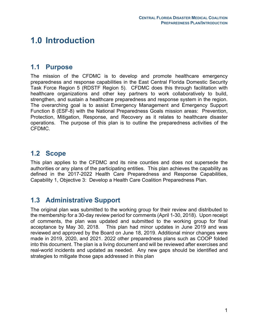# **1.0 Introduction**

#### **1.1 Purpose**

The mission of the CFDMC is to develop and promote healthcare emergency preparedness and response capabilities in the East Central Florida Domestic Security Task Force Region 5 (RDSTF Region 5). CFDMC does this through facilitation with healthcare organizations and other key partners to work collaboratively to build, strengthen, and sustain a healthcare preparedness and response system in the region. The overarching goal is to assist Emergency Management and Emergency Support Function 8 (ESF-8) with the National Preparedness Goals mission areas: Prevention, Protection, Mitigation, Response, and Recovery as it relates to healthcare disaster operations. The purpose of this plan is to outline the preparedness activities of the CFDMC.

#### **1.2 Scope**

This plan applies to the CFDMC and its nine counties and does not supersede the authorities or any plans of the participating entities. This plan achieves the capability as defined in the 2017-2022 Health Care Preparedness and Response Capabilities, Capability 1, Objective 3: Develop a Health Care Coalition Preparedness Plan.

#### **1.3 Administrative Support**

The original plan was submitted to the working group for their review and distributed to the membership for a 30-day review period for comments (April 1-30, 2018). Upon receipt of comments, the plan was updated and submitted to the working group for final acceptance by May 30, 2018. This plan had minor updates in June 2019 and was reviewed and approved by the Board on June 18, 2019. Additional minor changes were made in 2019, 2020, and 2021. 2022 other preparedness plans such as COOP folded into this document. The plan is a living document and will be reviewed after exercises and real-world incidents and updated as needed. Any new gaps should be identified and strategies to mitigate those gaps addressed in this plan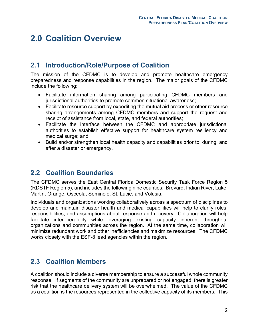## **2.0 Coalition Overview**

### **2.1 Introduction/Role/Purpose of Coalition**

The mission of the CFDMC is to develop and promote healthcare emergency preparedness and response capabilities in the region. The major goals of the CFDMC include the following:

- Facilitate information sharing among participating CFDMC members and jurisdictional authorities to promote common situational awareness;
- Facilitate resource support by expediting the mutual aid process or other resource sharing arrangements among CFDMC members and support the request and receipt of assistance from local, state, and federal authorities;
- Facilitate the interface between the CFDMC and appropriate jurisdictional authorities to establish effective support for healthcare system resiliency and medical surge; and
- Build and/or strengthen local health capacity and capabilities prior to, during, and after a disaster or emergency.

#### **2.2 Coalition Boundaries**

The CFDMC serves the East Central Florida Domestic Security Task Force Region 5 (RDSTF Region 5), and includes the following nine counties: Brevard, Indian River, Lake, Martin, Orange, Osceola, Seminole, St. Lucie, and Volusia.

Individuals and organizations working collaboratively across a spectrum of disciplines to develop and maintain disaster health and medical capabilities will help to clarify roles, responsibilities, and assumptions about response and recovery. Collaboration will help facilitate interoperability while leveraging existing capacity inherent throughout organizations and communities across the region. At the same time, collaboration will minimize redundant work and other inefficiencies and maximize resources. The CFDMC works closely with the ESF-8 lead agencies within the region.

#### **2.3 Coalition Members**

A coalition should include a diverse membership to ensure a successful whole community response. If segments of the community are unprepared or not engaged, there is greater risk that the healthcare delivery system will be overwhelmed. The value of the CFDMC as a coalition is the resources represented in the collective capacity of its members. This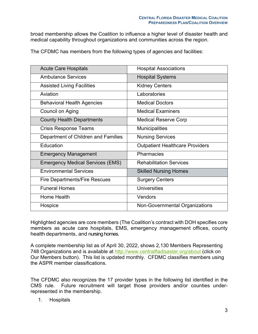broad membership allows the Coalition to influence a higher level of disaster health and medical capability throughout organizations and communities across the region.

The CFDMC has members from the following types of agencies and facilities:

| <b>Acute Care Hospitals</b>             | <b>Hospital Associations</b>           |
|-----------------------------------------|----------------------------------------|
| <b>Ambulance Services</b>               | <b>Hospital Systems</b>                |
| <b>Assisted Living Facilities</b>       | <b>Kidney Centers</b>                  |
| Aviation                                | Laboratories                           |
| <b>Behavioral Health Agencies</b>       | <b>Medical Doctors</b>                 |
| Council on Aging                        | <b>Medical Examiners</b>               |
| <b>County Health Departments</b>        | <b>Medical Reserve Corp</b>            |
| <b>Crisis Response Teams</b>            | <b>Municipalities</b>                  |
| Department of Children and Families     | <b>Nursing Services</b>                |
| Education                               | <b>Outpatient Healthcare Providers</b> |
| <b>Emergency Management</b>             | Pharmacies                             |
| <b>Emergency Medical Services (EMS)</b> | <b>Rehabilitation Services</b>         |
| <b>Environmental Services</b>           | <b>Skilled Nursing Homes</b>           |
| <b>Fire Departments/Fire Rescues</b>    | <b>Surgery Centers</b>                 |
| <b>Funeral Homes</b>                    | <b>Universities</b>                    |
| Home Health                             | Vendors                                |
| Hospice                                 | Non-Governmental Organizations         |

Highlighted agencies are core members (The Coalition's contract with DOH specifies core members as acute care hospitals, EMS, emergency management offices, county health departments, and nursing homes.

A complete membership list as of April 30, 2022, shows 2,130 Members Representing 748 Organizations and is available at http://www.centralfladisaster.org/about (click on Our Members button). This list is updated monthly. CFDMC classifies members using the ASPR member classifications.

The CFDMC also recognizes the 17 provider types in the following list identified in the CMS rule. Future recruitment will target those providers and/or counties underrepresented in the membership.

#### 1. Hospitals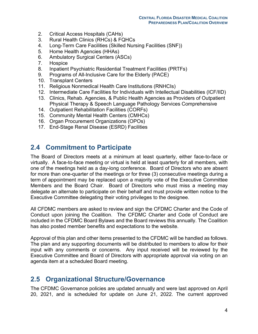- 2. Critical Access Hospitals (CAHs)
- 3. Rural Health Clinics (RHCs) & FQHCs
- 4. Long-Term Care Facilities (Skilled Nursing Facilities (SNF))
- 5. Home Health Agencies (HHAs)
- 6. Ambulatory Surgical Centers (ASCs)
- 7. Hospice
- 8. Inpatient Psychiatric Residential Treatment Facilities (PRTFs)
- 9. Programs of All-Inclusive Care for the Elderly (PACE)
- 10. Transplant Centers
- 11. Religious Nonmedical Health Care Institutions (RNHCIs)
- 12. Intermediate Care Facilities for Individuals with Intellectual Disabilities (ICF/IID)
- 13. Clinics, Rehab. Agencies, & Public Health Agencies as Providers of Outpatient Physical Therapy & Speech Language Pathology Services Comprehensive
- 14. Outpatient Rehabilitation Facilities (CORFs)
- 15. Community Mental Health Centers (CMHCs)
- 16. Organ Procurement Organizations (OPOs)
- 17. End-Stage Renal Disease (ESRD) Facilities

#### **2.4 Commitment to Participate**

The Board of Directors meets at a minimum at least quarterly, either face-to-face or virtually. A face-to-face meeting or virtual is held at least quarterly for all members, with one of the meetings held as a day-long conference. Board of Directors who are absent for more than one-quarter of the meetings or for three (3) consecutive meetings during a term of appointment may be replaced upon a majority vote of the Executive Committee Members and the Board Chair. Board of Directors who must miss a meeting may delegate an alternate to participate on their behalf and must provide written notice to the Executive Committee delegating their voting privileges to the designee.

All CFDMC members are asked to review and sign the CFDMC Charter and the Code of Conduct upon joining the Coalition. The CFDMC Charter and Code of Conduct are included in the CFDMC Board Bylaws and the Board reviews this annually. The Coalition has also posted member benefits and expectations to the website.

Approval of this plan and other items presented to the CFDMC will be handled as follows. The plan and any supporting documents will be distributed to members to allow for their input with any comments or concerns. Any input received will be reviewed by the Executive Committee and Board of Directors with appropriate approval via voting on an agenda item at a scheduled Board meeting.

#### **2.5 Organizational Structure/Governance**

The CFDMC Governance policies are updated annually and were last approved on April 20, 2021, and is scheduled for update on June 21, 2022. The current approved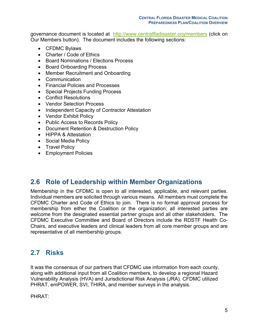governance document is located at http://www.centralfladisaster.org/members (click on Our Members button). The document includes the following sections:

- CFDMC Bylaws
- Charter / Code of Ethics
- Board Nominations / Elections Process
- Board Onboarding Process
- Member Recruitment and Onboarding
- Communication
- Financial Policies and Processes
- Special Projects Funding Process
- Conflict Resolutions
- Vendor Selection Process
- Independent Capacity of Contractor Attestation
- Vendor Exhibit Policy
- Public Access to Records Policy
- Document Retention & Destruction Policy
- HIPPA & Attestation
- Social Media Policy
- Travel Policy
- Employment Policies

#### **2.6 Role of Leadership within Member Organizations**

Membership in the CFDMC is open to all interested, applicable, and relevant parties. Individual members are solicited through various means. All members must complete the CFDMC Charter and Code of Ethics to join. There is no formal approval process for membership from either the Coalition or the organization; all interested parties are welcome from the designated essential partner groups and all other stakeholders. The CFDMC Executive Committee and Board of Directors include the RDSTF Health Co-Chairs, and executive leaders and clinical leaders from all core member groups and are representative of all membership groups.

### **2.7 Risks**

It was the consensus of our partners that CFDMC use information from each county, along with additional input from all Coalition members, to develop a regional Hazard Vulnerability Analysis (HVA) and Jurisdictional Risk Analysis (JRA). CFDMC utilized PHRAT, emPOWER, SVI, THIRA, and member surveys in the analysis.

PHRAT: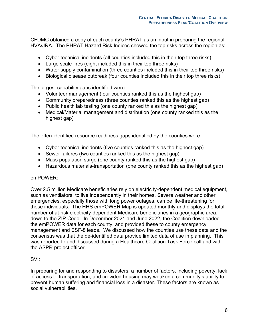CFDMC obtained a copy of each county's PHRAT as an input in preparing the regional HVA/JRA. The PHRAT Hazard Risk Indices showed the top risks across the region as:

- Cyber technical incidents (all counties included this in their top three risks)
- Large scale fires (eight included this in their top three risks)
- Water supply contamination (three counties included this in their top three risks)
- Biological disease outbreak (four counties included this in their top three risks)

The largest capability gaps identified were:

- Volunteer management (four counties ranked this as the highest gap)
- Community preparedness (three counties ranked this as the highest gap)
- Public health lab testing (one county ranked this as the highest gap)
- Medical/Material management and distribution (one county ranked this as the highest gap)

The often-identified resource readiness gaps identified by the counties were:

- Cyber technical incidents (five counties ranked this as the highest gap)
- Sewer failures (two counties ranked this as the highest gap)
- Mass population surge (one county ranked this as the highest gap)
- Hazardous materials-transportation (one county ranked this as the highest gap)

#### emPOWER:

Over 2.5 million Medicare beneficiaries rely on electricity-dependent medical equipment, such as ventilators, to live independently in their homes. Severe weather and other emergencies, especially those with long power outages, can be life-threatening for these individuals. The HHS emPOWER Map is updated monthly and displays the total number of at-risk electricity-dependent Medicare beneficiaries in a geographic area, down to the ZIP Code. In December 2021 and June 2022, the Coalition downloaded the emPOWER data for each county, and provided these to county emergency management and ESF-8 leads. We discussed how the counties use these data and the consensus was that the de-identified data provide limited data of use in planning. This was reported to and discussed during a Healthcare Coalition Task Force call and with the ASPR project officer.

#### SVI:

In preparing for and responding to disasters, a number of factors, including poverty, lack of access to transportation, and crowded housing may weaken a community's ability to prevent human suffering and financial loss in a disaster. These factors are known as social vulnerabilities.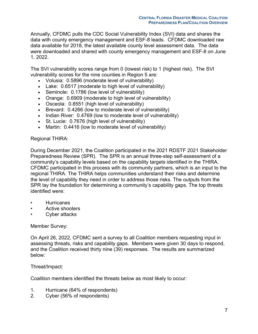Annually, CFDMC pulls the CDC Social Vulnerability Index (SVI) data and shares the data with county emergency management and ESF-8 leads. CFDMC downloaded raw data available for 2018, the latest available county level assessment data. The data were downloaded and shared with county emergency management and ESF-8 on June 1, 2022.

The SVI vulnerability scores range from 0 (lowest risk) to 1 (highest risk). The SVI vulnerability scores for the nine counties in Region 5 are:

- Volusia: 0.5896 (moderate level of vulnerability)
- Lake: 0.6517 (moderate to high level of vulnerability)
- Seminole: 0.1786 (low level of vulnerability)
- Orange: 0.6909 (moderate to high level of vulnerability)
- Osceola: 0.8551 (high level of vulnerability)
- Brevard: 0.4266 (low to moderate level of vulnerability)
- Indian River: 0.4769 (low to moderate level of vulnerability)
- St. Lucie: 0.7676 (high level of vulnerability)
- Martin: 0.4416 (low to moderate level of vulnerability)

#### Regional THIRA:

During December 2021, the Coalition participated in the 2021 RDSTF 2021 Stakeholder Preparedness Review (SPR). The SPR is an annual three-step self-assessment of a community's capability levels based on the capability targets identified in the THIRA. CFDMC participated in this process with its community partners, which is an input to the regional THIRA. The THIRA helps communities understand their risks and determine the level of capability they need in order to address those risks. The outputs from the SPR lay the foundation for determining a community's capability gaps. The top threats identified were:

- **Hurricanes**
- Active shooters
- Cyber attacks

#### Member Survey:

On April 26, 2022, CFDMC sent a survey to all Coalition members requesting input in assessing threats, risks and capability gaps. Members were given 30 days to respond, and the Coalition received thirty nine (39) responses. The results are summarized below:

#### Threat/Impact:

Coalition members identified the threats below as most likely to occur:

- 1. Hurricane (64% of respondents)
- 2. Cyber (56% of respondents)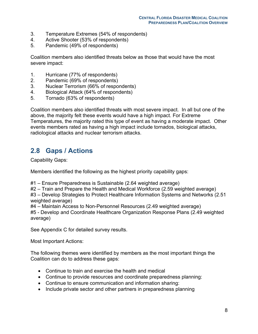- 3. Temperature Extremes (54% of respondents)
- 4. Active Shooter (53% of respondents)
- 5. Pandemic (49% of respondents)

Coalition members also identified threats below as those that would have the most severe impact:

- 1. Hurricane (77% of respondents)
- 2. Pandemic (69% of respondents)
- 3. Nuclear Terrorism (66% of respondents)
- 4. Biological Attack (64% of respondents)
- 5. Tornado (63% of respondents)

Coalition members also identified threats with most severe impact. In all but one of the above, the majority felt these events would have a high impact. For Extreme Temperatures, the majority rated this type of event as having a moderate impact. Other events members rated as having a high impact include tornados, biological attacks, radiological attacks and nuclear terrorism attacks.

## **2.8 Gaps / Actions**

Capability Gaps:

Members identified the following as the highest priority capability gaps:

#1 – Ensure Preparedness is Sustainable (2.64 weighted average)

#2 – Train and Prepare the Health and Medical Workforce (2.59 weighted average)

#3 – Develop Strategies to Protect Healthcare Information Systems and Networks (2.51 weighted average)

#4 – Maintain Access to Non-Personnel Resources (2.49 weighted average)

#5 - Develop and Coordinate Healthcare Organization Response Plans (2.49 weighted average)

See Appendix C for detailed survey results.

Most Important Actions:

The following themes were identified by members as the most important things the Coalition can do to address these gaps:

- Continue to train and exercise the health and medical
- Continue to provide resources and coordinate preparedness planning:
- Continue to ensure communication and information sharing:
- Include private sector and other partners in preparedness planning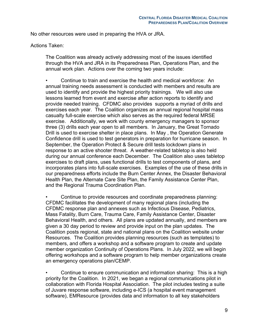No other resources were used in preparing the HVA or JRA.

Actions Taken:

The Coalition was already actively addressing most of the issues identified through the HVA and JRA in its Preparedness Plan, Operations Plan, and the annual work plan. Actions over the coming two years include:

• Continue to train and exercise the health and medical workforce: An annual training needs assessment is conducted with members and results are used to identify and provide the highest priority trainings. We will also use lessons learned from event and exercise after action reports to identify and provide needed training. CFDMC also provides supports a myriad of drills and exercises each year. The Coalition organizes an annual regional hospital mass casualty full-scale exercise which also serves as the required federal MRSE exercise. Additionally, we work with county emergency managers to sponsor three (3) drills each year open to all members. In January, the Great Tornado Drill is used to exercise shelter in place plans. In May , the Operation Generate Confidence drill is used to test generators in preparation for hurricane season. In September, the Operation Protect & Secure drill tests lockdown plans in response to an active shooter threat. A weather-related tabletop is also held during our annual conference each December. The Coalition also uses tabletop exercises to draft plans, uses functional drills to test components of plans, and incorporates plans into full-scale exercises. Examples of the use of these drills in our preparedness efforts include the Burn Center Annex, the Disaster Behavioral Health Plan, the Alternate Care Site Plan, the Family Assistance Center Plan, and the Regional Trauma Coordination Plan.

• Continue to provide resources and coordinate preparedness planning: CFDMC facilitates the development of many regional plans (including the CFDMC response plan and annexes such as Infectious Disease, Pediatrics, Mass Fatality, Burn Care, Trauma Care, Family Assistance Center, Disaster Behavioral Health, and others. All plans are updated annually, and members are given a 30 day period to review and provide input on the plan updates. The Coalition posts regional, state and national plans on the Coalition website under Resources. The Coalition provides planning resources (such as templates) to members, and offers a workshop and a software program to create and update member organization Continuity of Operations Plans. In July 2022, we will begin offering workshops and a software program to help member organizations create an emergency operations plan/CEMP.

• Continue to ensure communication and information sharing: This is a high priority for the Coalition. In 2021, we began a regional communications pilot in collaboration with Florida Hospital Association. The pilot includes testing a suite of Juvare response software, including e-ICS (a hospital event management software), EMResource (provides data and information to all key stakeholders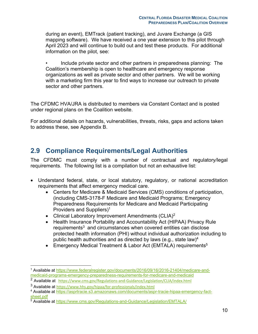during an event), EMTrack (patient tracking), and Juvare Exchange (a GIS mapping software). We have received a one year extension to this pilot through April 2023 and will continue to build out and test these products. For additional information on the pilot, see:

• Include private sector and other partners in preparedness planning: The Coalition's membership is open to healthcare and emergency response organizations as well as private sector and other partners. We will be working with a marketing firm this year to find ways to increase our outreach to private sector and other partners.

The CFDMC HVA/JRA is distributed to members via Constant Contact and is posted under regional plans on the Coalition website.

For additional details on hazards, vulnerabilities, threats, risks, gaps and actions taken to address these, see Appendix B.

#### **2.9 Compliance Requirements/Legal Authorities**

The CFDMC must comply with a number of contractual and regulatory/legal requirements. The following list is a compilation but not an exhaustive list:

- Understand federal, state, or local statutory, regulatory, or national accreditation requirements that affect emergency medical care.
	- Centers for Medicare & Medicaid Services (CMS) conditions of participation, (including CMS-3178-F Medicare and Medicaid Programs; Emergency Preparedness Requirements for Medicare and Medicaid Participating Providers and Suppliers)<sup>1</sup>
	- Clinical Laboratory Improvement Amendments (CLIA)<sup>2</sup>
	- Health Insurance Portability and Accountability Act (HIPAA) Privacy Rule requirements<sup>3</sup> and circumstances when covered entities can disclose protected health information (PHI) without individual authorization including to public health authorities and as directed by laws (e.g., state law)<sup>4</sup>
	- Emergency Medical Treatment & Labor Act (EMTALA) requirements<sup>5</sup>

<sup>1</sup> Available at https://www.federalregister.gov/documents/2016/09/16/2016-21404/medicare-andmedicaid-programs-emergency-preparedness-requirements-for-medicare-and-medicaid

<sup>&</sup>lt;sup>2</sup> Available at https://www.cms.gov/Regulations-and-Guidance/Legislation/CLIA/index.html

<sup>3</sup> Available at https://www.hhs.gov/hipaa/for-professionals/index.html

<sup>4</sup> Available at https://asprtracie.s3.amazonaws.com/documents/aspr-tracie-hipaa-emergency-factsheet.pdf

<sup>5</sup> Available at https://www.cms.gov/Regulations-and-Guidance/Legislation/EMTALA/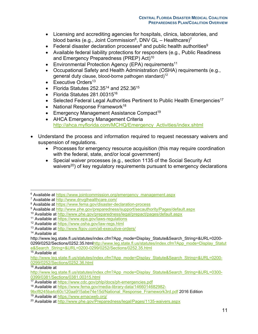- Licensing and accrediting agencies for hospitals, clinics, laboratories, and blood banks (e.g., Joint Commission $^6$ , DNV GL – Healthcare)<sup>7</sup>
- Federal disaster declaration processes<sup>8</sup> and public health authorities<sup>9</sup>
- Available federal liability protections for responders (e.g., Public Readiness and Emergency Preparedness (PREP) Act)<sup>10</sup>
- Environmental Protection Agency (EPA) requirements<sup>11</sup>
- Occupational Safety and Health Administration (OSHA) requirements (e.g., general duty clause, blood-borne pathogen standard)<sup>12</sup>
- Executive Orders $13$
- Florida Statutes 252.35 $14$  and 252.36 $15$
- Florida Statutes 281.00315<sup>16</sup>
- Selected Federal Legal Authorities Pertinent to Public Health Emergencies<sup>17</sup>
- National Response Framework<sup>18</sup>
- Emergency Management Assistance Compact<sup>19</sup>
- AHCA Emergency Management Criteria http://ahca.myflorida.com/MCHQ/Emergency\_Activities/index.shtml
- Understand the process and information required to request necessary waivers and suspension of regulations.
	- Processes for emergency resource acquisition (this may require coordination with the federal, state, and/or local government)
	- Special waiver processes (e.g., section 1135 of the Social Security Act waivers<sup>20</sup>) of key regulatory requirements pursuant to emergency declarations

0299/0252/Sections/0252.35.htmlhttp://www.leg.state.fl.us/statutes/index.cfm?App\_mode=Display\_Statut e&Search\_String=&URL=0200-0299/0252/Sections/0252.35.html

 $15$  Available at

<sup>16</sup> Available at

<sup>&</sup>lt;sup>6</sup> Available at https://www.jointcommission.org/emergency\_management.aspx

<sup>7</sup> Available at http://www.dnvglhealthcare.com/

<sup>8</sup> Available at https://www.fema.gov/disaster-declaration-process

<sup>9</sup> Available at http://www.phe.gov/preparedness/support/secauthority/Pages/default.aspx

<sup>10</sup> Available at http://www.phe.gov/preparedness/legal/prepact/pages/default.aspx

<sup>11</sup> Available at https://www.epa.gov/laws-regulations

<sup>12</sup> Available at https://www.osha.gov/law-regs.html

<sup>13</sup> Available at http://www.flgov.com/all-executive-orders/

<sup>&</sup>lt;sup>14</sup> Available at

http://www.leg.state.fl.us/statutes/index.cfm?App\_mode=Display\_Statute&Search\_String=&URL=0200-

http://www.leg.state.fl.us/statutes/index.cfm?App\_mode=Display\_Statute&Search\_String=&URL=0200-0299/0252/Sections/0252.36.html

http://www.leg.state.fl.us/statutes/index.cfm?App\_mode=Display\_Statute&Search\_String=&URL=0300-0399/0381/Sections/0381.00315.html

<sup>17</sup> Available at https://www.cdc.gov/phlp/docs/ph-emergencies.pdf

<sup>18</sup> Available at https://www.fema.gov/media-library-data/1466014682982-

<sup>9</sup>bcf8245ba4c60c120aa915abe74e15d/National\_Response\_Framework3rd.pdf 2016 Edition

<sup>19</sup> Available at https://www.emacweb.org/

<sup>20</sup> Available at http://www.phe.gov/Preparedness/legal/Pages/1135-waivers.aspx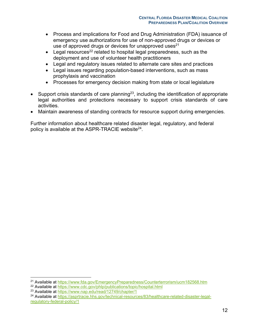- Process and implications for Food and Drug Administration (FDA) issuance of emergency use authorizations for use of non-approved drugs or devices or use of approved drugs or devices for unapproved uses $^{21}$
- Legal resources<sup>22</sup> related to hospital legal preparedness, such as the deployment and use of volunteer health practitioners
- Legal and regulatory issues related to alternate care sites and practices
- Legal issues regarding population-based interventions, such as mass prophylaxis and vaccination
- Processes for emergency decision making from state or local legislature
- Support crisis standards of care planning<sup>23</sup>, including the identification of appropriate legal authorities and protections necessary to support crisis standards of care activities.
- Maintain awareness of standing contracts for resource support during emergencies.

Further information about healthcare related disaster legal, regulatory, and federal policy is available at the ASPR-TRACIE website $^{24}$ .

<sup>21</sup> Available at https://www.fda.gov/EmergencyPreparedness/Counterterrorism/ucm182568.htm

<sup>22</sup> Available at https://www.cdc.gov/phlp/publications/topic/hospital.html

<sup>23</sup> Available at https://www.nap.edu/read/12749/chapter/1

<sup>24</sup> Available at https://asprtracie.hhs.gov/technical-resources/83/healthcare-related-disaster-legalregulatory-federal-policy/1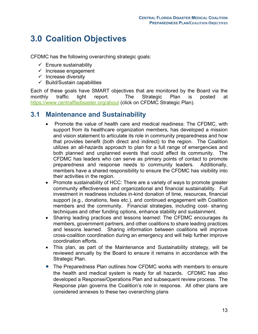# **3.0 Coalition Objectives**

CFDMC has the following overarching strategic goals:

- $\checkmark$  Ensure sustainability
- $\checkmark$  Increase engagement
- $\checkmark$  Increase diversity
- $\checkmark$  Build/Sustain capabilities

Each of these goals have SMART objectives that are monitored by the Board via the monthly traffic light report. The Strategic Plan is posted at https://www.centralfladisaster.org/about (click on CFDMC Strategic Plan).

#### **3.1 Maintenance and Sustainability**

- Promote the value of health care and medical readiness: The CFDMC, with support from its healthcare organization members, has developed a mission and vision statement to articulate its role in community preparedness and how that provides benefit (both direct and indirect) to the region. The Coalition utilizes an all-hazards approach to plan for a full range of emergencies and both planned and unplanned events that could affect its community. The CFDMC has leaders who can serve as primary points of contact to promote preparedness and response needs to community leaders. Additionally, members have a shared responsibility to ensure the CFDMC has visibility into their activities in the region.
- Promote sustainability of HCC: There are a variety of ways to promote greater community effectiveness and organizational and financial sustainability. Full investment in readiness includes in-kind donation of time, resources, financial support (e.g., donations, fees etc.), and continued engagement with Coalition members and the community. Financial strategies, including cost- sharing techniques and other funding options, enhance stability and sustainment.
- Sharing leading practices and lessons learned: The CFDMC encourages its members, government partners, and other coalitions to share leading practices and lessons learned. Sharing information between coalitions will improve cross-coalition coordination during an emergency and will help further improve coordination efforts.
- This plan, as part of the Maintenance and Sustainability strategy, will be reviewed annually by the Board to ensure it remains in accordance with the Strategic Plan.
- The Preparedness Plan outlines how CFDMC works with members to ensure the health and medical system is ready for all hazards. CFDMC has also developed a Response/Operations Plan and subsequent review process. The Response plan governs the Coalition's role in response. All other plans are considered annexes to these two overarching plans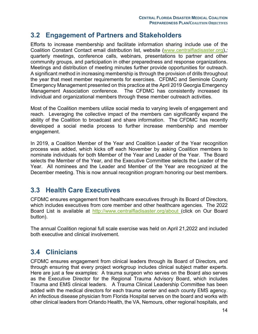### **3.2 Engagement of Partners and Stakeholders**

Efforts to increase membership and facilitate information sharing include use of the Coalition Constant Contact email distribution list, website (www.centralfladisaster.org),*;*  quarterly meetings, conference calls, webinars, presentations to partner and other community groups, and participation in other preparedness and response organizations. Meetings and distribution of meeting minutes further provide opportunities for outreach. A significant method in increasing membership is through the provision of drills throughout the year that meet member requirements for exercises. CFDMC and Seminole County Emergency Management presented on this practice at the April 2019 Georgia Emergency Management Association conference. The CFDMC has consistently increased its individual and organizational members through these member outreach activities.

Most of the Coalition members utilize social media to varying levels of engagement and reach. Leveraging the collective impact of the members can significantly expand the ability of the Coalition to broadcast and share information. The CFDMC has recently developed a social media process to further increase membership and member engagement.

In 2019, a Coalition Member of the Year and Coalition Leader of the Year recognition process was added, which kicks off each November by asking Coalition members to nominate individuals for both Member of the Year and Leader of the Year. The Board selects the Member of the Year, and the Executive Committee selects the Leader of the Year. All nominees and the Leader and Member of the Year are recognized at the December meeting. This is now annual recognition program honoring our best members.

### **3.3 Health Care Executives**

CFDMC ensures engagement from healthcare executives through its Board of Directors, which includes executives from core member and other healthcare agencies. The 2022 Board List is available at http://www.centralfladisaster.org/about (click on Our Board button).

The annual Coalition regional full scale exercise was held on April 21,2022 and included both executive and clinical involvement.

### **3.4 Clinicians**

CFDMC ensures engagement from clinical leaders through its Board of Directors, and through ensuring that every project workgroup includes clinical subject matter experts. Here are just a few examples: A trauma surgeon who serves on the Board also serves as the Executive Director for the Regional Trauma Advisory Board, which includes Trauma and EMS clinical leaders. A Trauma Clinical Leadership Committee has been added with the medical directors for each trauma center and each county EMS agency. An infectious disease physician from Florida Hospital serves on the board and works with other clinical leaders from Orlando Health, the VA, Nemours, other regional hospitals, and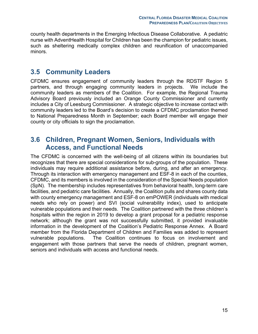county health departments in the Emerging Infectious Disease Collaborative. A pediatric nurse with AdventHealth Hospital for Children has been the champion for pediatric issues, such as sheltering medically complex children and reunification of unaccompanied minors.

#### **3.5 Community Leaders**

CFDMC ensures engagement of community leaders through the RDSTF Region 5 partners, and through engaging community leaders in projects. We include the community leaders as members of the Coalition. For example, the Regional Trauma Advisory Board previously included an Orange County Commissioner and currently includes a City of Leesburg Commissioner. A strategic objective to increase contact with community leaders led to the Board's decision to create a CFDMC proclamation themed to National Preparedness Month in September; each Board member will engage their county or city officials to sign the proclamation.

#### **3.6 Children, Pregnant Women, Seniors, Individuals with Access, and Functional Needs**

The CFDMC is concerned with the well-being of all citizens within its boundaries but recognizes that there are special considerations for sub-groups of the population. These individuals may require additional assistance before, during, and after an emergency. Through its interaction with emergency management and ESF-8 in each of the counties, CFDMC, and its members is involved in the consideration of the Special Needs population (SpN). The membership includes representatives from behavioral health, long-term care facilities, and pediatric care facilities. Annually, the Coalition pulls and shares county data with county emergency management and ESF-8 on emPOWER (individuals with medical needs who rely on power) and SVI (social vulnerability index), used to anticipate vulnerable populations and their needs. The Coalition partnered with the three children's hospitals within the region in 2019 to develop a grant proposal for a pediatric response network; although the grant was not successfully submitted, it provided invaluable information in the development of the Coalition's Pediatric Response Annex. A Board member from the Florida Department of Children and Families was added to represent vulnerable populations. The Coalition continues to focus on involvement and engagement with those partners that serve the needs of children, pregnant women, seniors and individuals with access and functional needs.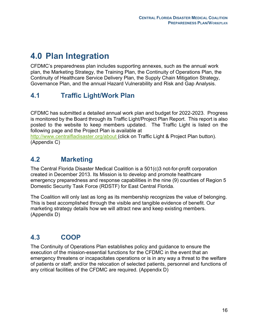# **4.0 Plan Integration**

CFDMC's preparedness plan includes supporting annexes, such as the annual work plan, the Marketing Strategy, the Training Plan, the Continuity of Operations Plan, the Continuity of Healthcare Service Delivery Plan, the Supply Chain Mitigation Strategy, Governance Plan, and the annual Hazard Vulnerability and Risk and Gap Analysis.

## **4.1 Traffic Light/Work Plan**

CFDMC has submitted a detailed annual work plan and budget for 2022-2023. Progress is monitored by the Board through its Traffic Light/Project Plan Report. This report is also posted to the website to keep members updated. The Traffic Light is listed on the following page and the Project Plan is available at

http://www.centralfladisaster.org/about (click on Traffic Light & Project Plan button). (Appendix C)

## **4.2 Marketing**

The Central Florida Disaster Medical Coalition is a 501(c)3 not-for-profit corporation created in December 2013. Its Mission is to develop and promote healthcare emergency preparedness and response capabilities in the nine (9) counties of Region 5 Domestic Security Task Force (RDSTF) for East Central Florida.

The Coalition will only last as long as its membership recognizes the value of belonging. This is best accomplished through the visible and tangible evidence of benefit. Our marketing strategy details how we will attract new and keep existing members. (Appendix D)

## **4.3 COOP**

The Continuity of Operations Plan establishes policy and guidance to ensure the execution of the mission-essential functions for the CFDMC in the event that an emergency threatens or incapacitates operations or is in any way a threat to the welfare of patients or staff; and/or the relocation of selected patients, personnel and functions of any critical facilities of the CFDMC are required. (Appendix D)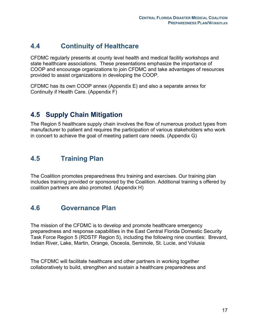## **4.4 Continuity of Healthcare**

CFDMC regularly presents at county level health and medical facility workshops and state healthcare associations. These presentations emphasize the importance of COOP and encourage organizations to join CFDMC and take advantages of resources provided to assist organizations in developing the COOP.

CFDMC has its own COOP annex (Appendix E) and also a separate annex for Continuity if Health Care. (Appendix F)

## **4.5 Supply Chain Mitigation**

The Region 5 healthcare supply chain involves the flow of numerous product types from manufacturer to patient and requires the participation of various stakeholders who work in concert to achieve the goal of meeting patient care needs. (Appendix G)

## **4.5 Training Plan**

The Coalition promotes preparedness thru training and exercises. Our training plan includes training provided or sponsored by the Coalition. Additional training s offered by coalition partners are also promoted. (Appendix H)

### **4.6 Governance Plan**

The mission of the CFDMC is to develop and promote healthcare emergency preparedness and response capabilities in the East Central Florida Domestic Security Task Force Region 5 (RDSTF Region 5), including the following nine counties: Brevard, Indian River, Lake, Martin, Orange, Osceola, Seminole, St. Lucie, and Volusia

The CFDMC will facilitate healthcare and other partners in working together collaboratively to build, strengthen and sustain a healthcare preparedness and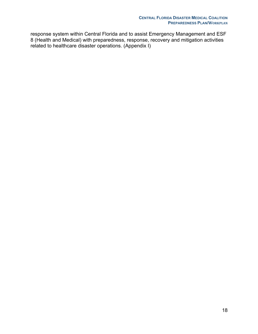response system within Central Florida and to assist Emergency Management and ESF 8 (Health and Medical) with preparedness, response, recovery and mitigation activities related to healthcare disaster operations. (Appendix I)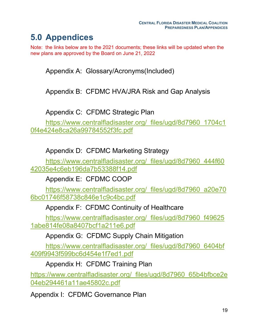# **5.0 Appendices**

Note: the links below are to the 2021 documents; these links will be updated when the new plans are approved by the Board on June 21, 2022

Appendix A: Glossary/Acronyms(Included)

Appendix B: CFDMC HVA/JRA Risk and Gap Analysis

Appendix C: CFDMC Strategic Plan

https://www.centralfladisaster.org/\_files/ugd/8d7960\_1704c1 0f4e424e8ca26a99784552f3fc.pdf

Appendix D: CFDMC Marketing Strategy

https://www.centralfladisaster.org/\_files/ugd/8d7960\_444f60 42035e4c6eb196da7b53388f14.pdf

Appendix E: CFDMC COOP

https://www.centralfladisaster.org/\_files/ugd/8d7960\_a20e70 6bc01746f58738c846e1c9c4bc.pdf

Appendix F: CFDMC Continuity of Healthcare

https://www.centralfladisaster.org/\_files/ugd/8d7960\_f49625 1abe814fe08a8407bcf1a211e6.pdf

Appendix G: CFDMC Supply Chain Mitigation

https://www.centralfladisaster.org/\_files/ugd/8d7960\_6404bf 409f9943f599bc6d454e1f7ed1.pdf

Appendix H: CFDMC Training Plan

https://www.centralfladisaster.org/\_files/ugd/8d7960\_65b4bfbce2e 04eb294461a11ae45802c.pdf

Appendix I: CFDMC Governance Plan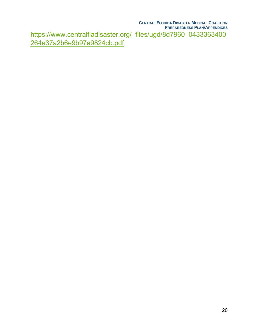**CENTRAL FLORIDA DISASTER MEDICAL COALITION PREPAREDNESS PLAN/APPENDICES** https://www.centralfladisaster.org/\_files/ugd/8d7960\_0433363400 264e37a2b6e9b97a9824cb.pdf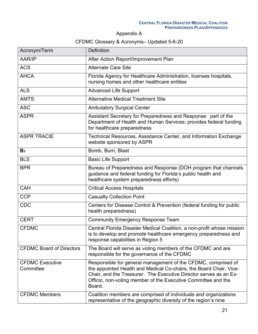Appendix A

#### CFDMC Glossary & Acronyms– Updated 5-6-20

| Acronym/Term                        | <b>Definition</b>                                                                                                                                                                                                                                                                   |
|-------------------------------------|-------------------------------------------------------------------------------------------------------------------------------------------------------------------------------------------------------------------------------------------------------------------------------------|
| AAR/IP                              | After Action Report/Improvement Plan                                                                                                                                                                                                                                                |
| <b>ACS</b>                          | <b>Alternate Care Site</b>                                                                                                                                                                                                                                                          |
| <b>AHCA</b>                         | Florida Agency for Healthcare Administration, licenses hospitals,<br>nursing homes and other healthcare entities                                                                                                                                                                    |
| <b>ALS</b>                          | <b>Advanced Life Support</b>                                                                                                                                                                                                                                                        |
| <b>AMTS</b>                         | <b>Alternative Medical Treatment Site</b>                                                                                                                                                                                                                                           |
| <b>ASC</b>                          | <b>Ambulatory Surgical Center</b>                                                                                                                                                                                                                                                   |
| <b>ASPR</b>                         | Assistant Secretary for Preparedness and Response: part of the<br>Department of Health and Human Services; provides federal funding<br>for healthcare preparedness                                                                                                                  |
| <b>ASPR TRACIE</b>                  | Technical Resources, Assistance Center, and Information Exchange<br>website sponsored by ASPR                                                                                                                                                                                       |
| B <sub>3</sub>                      | Bomb, Burn, Blast                                                                                                                                                                                                                                                                   |
| <b>BLS</b>                          | <b>Basic Life Support</b>                                                                                                                                                                                                                                                           |
| <b>BPR</b>                          | Bureau of Preparedness and Response (DOH program that channels<br>guidance and federal funding for Florida's public health and<br>healthcare system preparedness efforts)                                                                                                           |
| <b>CAH</b>                          | <b>Critical Access Hospitals</b>                                                                                                                                                                                                                                                    |
| <b>CCP</b>                          | <b>Casualty Collection Point</b>                                                                                                                                                                                                                                                    |
| <b>CDC</b>                          | Centers for Disease Control & Prevention (federal funding for public<br>health preparedness)                                                                                                                                                                                        |
| <b>CERT</b>                         | <b>Community Emergency Response Team</b>                                                                                                                                                                                                                                            |
| <b>CFDMC</b>                        | Central Florida Disaster Medical Coalition, a non-profit whose mission<br>is to develop and promote healthcare emergency preparedness and<br>response capabilities in Region 5                                                                                                      |
| <b>CFDMC Board of Directors</b>     | The Board will serve as voting members of the CFDMC and are<br>responsible for the governance of the CFDMC                                                                                                                                                                          |
| <b>CFDMC Executive</b><br>Committee | Responsible for general management of the CFDMC, comprised of<br>the appointed Health and Medical Co-chairs, the Board Chair, Vice-<br>Chair, and the Treasurer. The Executive Director serves as an Ex-<br>Officio, non-voting member of the Executive Committee and the<br>Board. |
| <b>CFDMC Members</b>                | Coalition members are comprised of individuals and organizations<br>representative of the geographic diversity of the region's nine                                                                                                                                                 |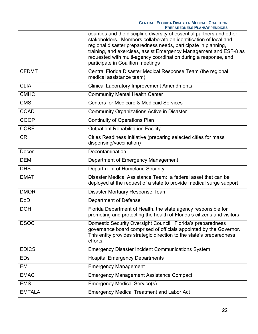|               | counties and the discipline diversity of essential partners and other<br>stakeholders. Members collaborate on identification of local and<br>regional disaster preparedness needs, participate in planning,<br>training, and exercises, assist Emergency Management and ESF-8 as<br>requested with multi-agency coordination during a response, and<br>participate in Coalition meetings |
|---------------|------------------------------------------------------------------------------------------------------------------------------------------------------------------------------------------------------------------------------------------------------------------------------------------------------------------------------------------------------------------------------------------|
| <b>CFDMT</b>  | Central Florida Disaster Medical Response Team (the regional<br>medical assistance team)                                                                                                                                                                                                                                                                                                 |
| <b>CLIA</b>   | <b>Clinical Laboratory Improvement Amendments</b>                                                                                                                                                                                                                                                                                                                                        |
| <b>CMHC</b>   | <b>Community Mental Health Center</b>                                                                                                                                                                                                                                                                                                                                                    |
| <b>CMS</b>    | <b>Centers for Medicare &amp; Medicaid Services</b>                                                                                                                                                                                                                                                                                                                                      |
| <b>COAD</b>   | <b>Community Organizations Active in Disaster</b>                                                                                                                                                                                                                                                                                                                                        |
| <b>COOP</b>   | <b>Continuity of Operations Plan</b>                                                                                                                                                                                                                                                                                                                                                     |
| <b>CORF</b>   | <b>Outpatient Rehabilitation Facility</b>                                                                                                                                                                                                                                                                                                                                                |
| <b>CRI</b>    | Cities Readiness Initiative (preparing selected cities for mass<br>dispensing/vaccination)                                                                                                                                                                                                                                                                                               |
| Decon         | Decontamination                                                                                                                                                                                                                                                                                                                                                                          |
| <b>DEM</b>    | Department of Emergency Management                                                                                                                                                                                                                                                                                                                                                       |
| <b>DHS</b>    | Department of Homeland Security                                                                                                                                                                                                                                                                                                                                                          |
| <b>DMAT</b>   | Disaster Medical Assistance Team: a federal asset that can be<br>deployed at the request of a state to provide medical surge support                                                                                                                                                                                                                                                     |
| <b>DMORT</b>  | Disaster Mortuary Response Team                                                                                                                                                                                                                                                                                                                                                          |
| <b>DoD</b>    | Department of Defense                                                                                                                                                                                                                                                                                                                                                                    |
| <b>DOH</b>    | Florida Department of Health, the state agency responsible for<br>promoting and protecting the health of Florida's citizens and visitors                                                                                                                                                                                                                                                 |
| <b>DSOC</b>   | Domestic Security Oversight Council. Florida's preparedness<br>governance board comprised of officials appointed by the Governor.<br>This entity provides strategic direction to the state's preparedness<br>efforts.                                                                                                                                                                    |
| <b>EDICS</b>  | <b>Emergency Disaster Incident Communications System</b>                                                                                                                                                                                                                                                                                                                                 |
| <b>EDs</b>    | <b>Hospital Emergency Departments</b>                                                                                                                                                                                                                                                                                                                                                    |
| EM            | <b>Emergency Management</b>                                                                                                                                                                                                                                                                                                                                                              |
| <b>EMAC</b>   | <b>Emergency Management Assistance Compact</b>                                                                                                                                                                                                                                                                                                                                           |
| <b>EMS</b>    | <b>Emergency Medical Service(s)</b>                                                                                                                                                                                                                                                                                                                                                      |
| <b>EMTALA</b> | <b>Emergency Medical Treatment and Labor Act</b>                                                                                                                                                                                                                                                                                                                                         |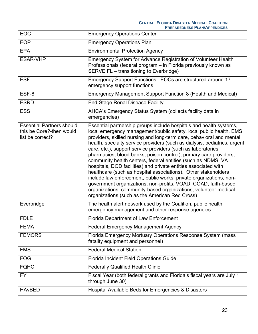| <b>EOC</b>                                                                       | <b>Emergency Operations Center</b>                                                                                                                                                                                                                                                                                                                                                                                                                                                                                                                                                                                                                                                                                                                                                                                                                                                                    |
|----------------------------------------------------------------------------------|-------------------------------------------------------------------------------------------------------------------------------------------------------------------------------------------------------------------------------------------------------------------------------------------------------------------------------------------------------------------------------------------------------------------------------------------------------------------------------------------------------------------------------------------------------------------------------------------------------------------------------------------------------------------------------------------------------------------------------------------------------------------------------------------------------------------------------------------------------------------------------------------------------|
| <b>EOP</b>                                                                       | <b>Emergency Operations Plan</b>                                                                                                                                                                                                                                                                                                                                                                                                                                                                                                                                                                                                                                                                                                                                                                                                                                                                      |
| <b>EPA</b>                                                                       | <b>Environmental Protection Agency</b>                                                                                                                                                                                                                                                                                                                                                                                                                                                                                                                                                                                                                                                                                                                                                                                                                                                                |
| <b>ESAR-VHP</b>                                                                  | Emergency System for Advance Registration of Volunteer Health<br>Professionals (federal program – in Florida previously known as<br>SERVE FL - transitioning to Everbridge)                                                                                                                                                                                                                                                                                                                                                                                                                                                                                                                                                                                                                                                                                                                           |
| <b>ESF</b>                                                                       | Emergency Support Functions. EOCs are structured around 17<br>emergency support functions                                                                                                                                                                                                                                                                                                                                                                                                                                                                                                                                                                                                                                                                                                                                                                                                             |
| ESF-8                                                                            | Emergency Management Support Function 8 (Health and Medical)                                                                                                                                                                                                                                                                                                                                                                                                                                                                                                                                                                                                                                                                                                                                                                                                                                          |
| <b>ESRD</b>                                                                      | <b>End-Stage Renal Disease Facility</b>                                                                                                                                                                                                                                                                                                                                                                                                                                                                                                                                                                                                                                                                                                                                                                                                                                                               |
| <b>ESS</b>                                                                       | AHCA's Emergency Status System (collects facility data in<br>emergencies)                                                                                                                                                                                                                                                                                                                                                                                                                                                                                                                                                                                                                                                                                                                                                                                                                             |
| <b>Essential Partners should</b><br>this be Core?-then would<br>list be correct? | Essential partnership groups include hospitals and health systems,<br>local emergency management/public safety, local public health, EMS<br>providers, skilled nursing and long-term care, behavioral and mental<br>health, specialty service providers (such as dialysis, pediatrics, urgent<br>care, etc.), support service providers (such as laboratories,<br>pharmacies, blood banks, poison control), primary care providers,<br>community health centers, federal entities (such as NDMS, VA<br>hospitals, DOD facilities) and private entities associated with<br>healthcare (such as hospital associations). Other stakeholders<br>include law enforcement, public works, private organizations, non-<br>government organizations, non-profits, VOAD, COAD, faith-based<br>organizations, community-based organizations, volunteer medical<br>organizations (such as the American Red Cross) |
| Everbridge                                                                       | The health alert network used by the Coalition, public health,<br>emergency management and other response agencies                                                                                                                                                                                                                                                                                                                                                                                                                                                                                                                                                                                                                                                                                                                                                                                    |
| <b>FDLE</b>                                                                      | <b>Florida Department of Law Enforcement</b>                                                                                                                                                                                                                                                                                                                                                                                                                                                                                                                                                                                                                                                                                                                                                                                                                                                          |
| <b>FEMA</b>                                                                      | <b>Federal Emergency Management Agency</b>                                                                                                                                                                                                                                                                                                                                                                                                                                                                                                                                                                                                                                                                                                                                                                                                                                                            |
| <b>FEMORS</b>                                                                    | Florida Emergency Mortuary Operations Response System (mass<br>fatality equipment and personnel)                                                                                                                                                                                                                                                                                                                                                                                                                                                                                                                                                                                                                                                                                                                                                                                                      |
| <b>FMS</b>                                                                       | <b>Federal Medical Station</b>                                                                                                                                                                                                                                                                                                                                                                                                                                                                                                                                                                                                                                                                                                                                                                                                                                                                        |
| <b>FOG</b>                                                                       | <b>Florida Incident Field Operations Guide</b>                                                                                                                                                                                                                                                                                                                                                                                                                                                                                                                                                                                                                                                                                                                                                                                                                                                        |
| <b>FQHC</b>                                                                      | <b>Federally Qualified Health Clinic</b>                                                                                                                                                                                                                                                                                                                                                                                                                                                                                                                                                                                                                                                                                                                                                                                                                                                              |
| <b>FY</b>                                                                        | Fiscal Year (both federal grants and Florida's fiscal years are July 1<br>through June 30)                                                                                                                                                                                                                                                                                                                                                                                                                                                                                                                                                                                                                                                                                                                                                                                                            |
| <b>HAvBED</b>                                                                    | Hospital Available Beds for Emergencies & Disasters                                                                                                                                                                                                                                                                                                                                                                                                                                                                                                                                                                                                                                                                                                                                                                                                                                                   |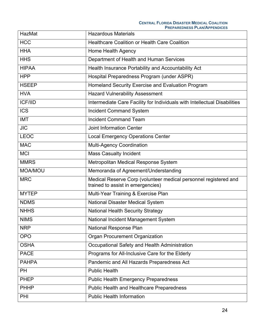| HazMat         | <b>Hazardous Materials</b>                                                                            |
|----------------|-------------------------------------------------------------------------------------------------------|
| <b>HCC</b>     | <b>Healthcare Coalition or Health Care Coalition</b>                                                  |
| <b>HHA</b>     | Home Health Agency                                                                                    |
| <b>HHS</b>     | Department of Health and Human Services                                                               |
| <b>HIPAA</b>   | Health Insurance Portability and Accountability Act                                                   |
| <b>HPP</b>     | Hospital Preparedness Program (under ASPR)                                                            |
| <b>HSEEP</b>   | Homeland Security Exercise and Evaluation Program                                                     |
| <b>HVA</b>     | <b>Hazard Vulnerability Assessment</b>                                                                |
| <b>ICF/IID</b> | Intermediate Care Facility for Individuals with Intellectual Disabilities                             |
| <b>ICS</b>     | <b>Incident Command System</b>                                                                        |
| <b>IMT</b>     | <b>Incident Command Team</b>                                                                          |
| <b>JIC</b>     | <b>Joint Information Center</b>                                                                       |
| <b>LEOC</b>    | <b>Local Emergency Operations Center</b>                                                              |
| <b>MAC</b>     | <b>Multi-Agency Coordination</b>                                                                      |
| <b>MCI</b>     | <b>Mass Casualty Incident</b>                                                                         |
| <b>MMRS</b>    | Metropolitan Medical Response System                                                                  |
| <b>MOA/MOU</b> | Memoranda of Agreement/Understanding                                                                  |
| <b>MRC</b>     | Medical Reserve Corp (volunteer medical personnel registered and<br>trained to assist in emergencies) |
| <b>MYTEP</b>   | Multi-Year Training & Exercise Plan                                                                   |
| <b>NDMS</b>    | National Disaster Medical System                                                                      |
| <b>NHHS</b>    | <b>National Health Security Strategy</b>                                                              |
| <b>NIMS</b>    | National Incident Management System                                                                   |
| <b>NRP</b>     | National Response Plan                                                                                |
| <b>OPO</b>     | Organ Procurement Organization                                                                        |
| <b>OSHA</b>    |                                                                                                       |
|                | Occupational Safety and Health Administration                                                         |
| <b>PACE</b>    | Programs for All-Inclusive Care for the Elderly                                                       |
| <b>PAHPA</b>   | Pandemic and All Hazards Preparedness Act                                                             |
| <b>PH</b>      | <b>Public Health</b>                                                                                  |
| <b>PHEP</b>    | <b>Public Health Emergency Preparedness</b>                                                           |
| <b>PHHP</b>    | Public Health and Healthcare Preparedness                                                             |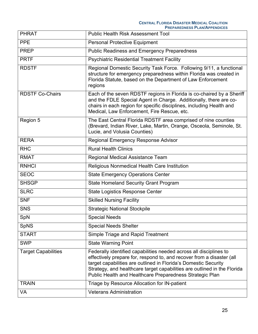| <b>PHRAT</b>               | <b>Public Health Risk Assessment Tool</b>                                                                                                                                                                                                                                                                                                              |
|----------------------------|--------------------------------------------------------------------------------------------------------------------------------------------------------------------------------------------------------------------------------------------------------------------------------------------------------------------------------------------------------|
| <b>PPE</b>                 | <b>Personal Protective Equipment</b>                                                                                                                                                                                                                                                                                                                   |
| <b>PREP</b>                | <b>Public Readiness and Emergency Preparedness</b>                                                                                                                                                                                                                                                                                                     |
| <b>PRTF</b>                | <b>Psychiatric Residential Treatment Facility</b>                                                                                                                                                                                                                                                                                                      |
| <b>RDSTF</b>               | Regional Domestic Security Task Force. Following 9/11, a functional<br>structure for emergency preparedness within Florida was created in<br>Florida Statute, based on the Department of Law Enforcement<br>regions                                                                                                                                    |
| <b>RDSTF Co-Chairs</b>     | Each of the seven RDSTF regions in Florida is co-chaired by a Sheriff<br>and the FDLE Special Agent in Charge. Additionally, there are co-<br>chairs in each region for specific disciplines, including Health and<br>Medical, Law Enforcement, Fire Rescue, etc.                                                                                      |
| Region 5                   | The East Central Florida RDSTF area comprised of nine counties<br>(Brevard, Indian River, Lake, Martin, Orange, Osceola, Seminole, St.<br>Lucie, and Volusia Counties)                                                                                                                                                                                 |
| <b>RERA</b>                | Regional Emergency Response Advisor                                                                                                                                                                                                                                                                                                                    |
| <b>RHC</b>                 | <b>Rural Health Clinics</b>                                                                                                                                                                                                                                                                                                                            |
| <b>RMAT</b>                | Regional Medical Assistance Team                                                                                                                                                                                                                                                                                                                       |
| <b>RNHCI</b>               | Religious Nonmedical Health Care Institution                                                                                                                                                                                                                                                                                                           |
| <b>SEOC</b>                | <b>State Emergency Operations Center</b>                                                                                                                                                                                                                                                                                                               |
| <b>SHSGP</b>               | <b>State Homeland Security Grant Program</b>                                                                                                                                                                                                                                                                                                           |
| <b>SLRC</b>                | <b>State Logistics Response Center</b>                                                                                                                                                                                                                                                                                                                 |
| <b>SNF</b>                 | <b>Skilled Nursing Facility</b>                                                                                                                                                                                                                                                                                                                        |
| <b>SNS</b>                 | <b>Strategic National Stockpile</b>                                                                                                                                                                                                                                                                                                                    |
| SpN                        | <b>Special Needs</b>                                                                                                                                                                                                                                                                                                                                   |
| <b>SpNS</b>                | <b>Special Needs Shelter</b>                                                                                                                                                                                                                                                                                                                           |
| <b>START</b>               | Simple Triage and Rapid Treatment                                                                                                                                                                                                                                                                                                                      |
| <b>SWP</b>                 | <b>State Warning Point</b>                                                                                                                                                                                                                                                                                                                             |
| <b>Target Capabilities</b> | Federally identified capabilities needed across all disciplines to<br>effectively prepare for, respond to, and recover from a disaster (all<br>target capabilities are outlined in Florida's Domestic Security<br>Strategy, and healthcare target capabilities are outlined in the Florida<br>Public Health and Healthcare Preparedness Strategic Plan |
| <b>TRAIN</b>               | Triage by Resource Allocation for IN-patient                                                                                                                                                                                                                                                                                                           |
| <b>VA</b>                  | <b>Veterans Administration</b>                                                                                                                                                                                                                                                                                                                         |